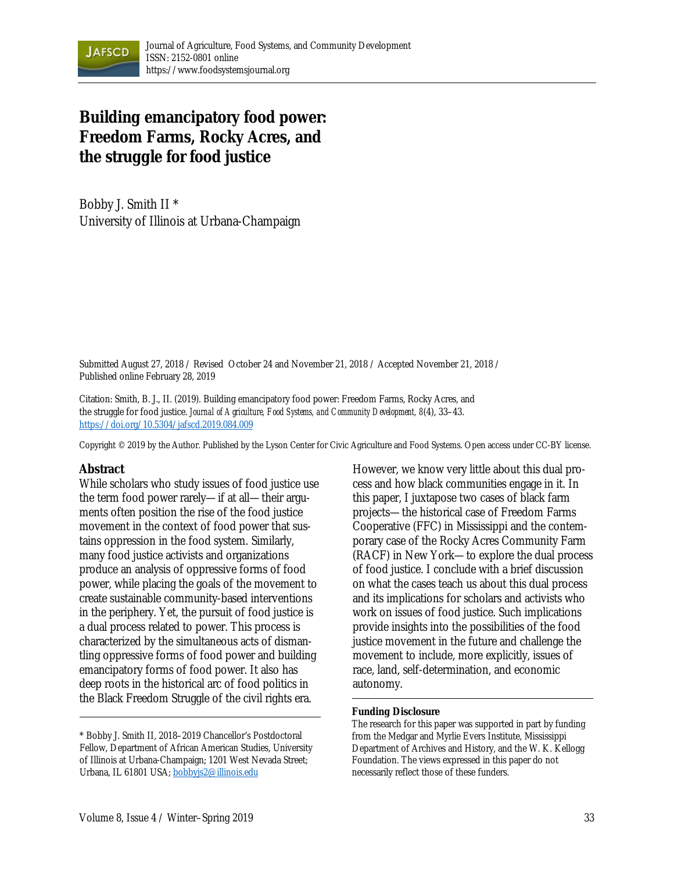

# **Building emancipatory food power: Freedom Farms, Rocky Acres, and the struggle for food justice**

Bobby J. Smith II \* University of Illinois at Urbana-Champaign

Submitted August 27, 2018 / Revised October 24 and November 21, 2018 / Accepted November 21, 2018 / Published online February 28, 2019

Citation: Smith, B. J., II. (2019). Building emancipatory food power: Freedom Farms, Rocky Acres, and the struggle for food justice. *Journal of Agriculture, Food Systems, and Community Development, 8*(4), 33–43. https://doi.org/10.5304/jafscd.2019.084.009

Copyright © 2019 by the Author. Published by the Lyson Center for Civic Agriculture and Food Systems. Open access under CC-BY license.

#### **Abstract**

While scholars who study issues of food justice use the term food power rarely—if at all—their arguments often position the rise of the food justice movement in the context of food power that sustains oppression in the food system. Similarly, many food justice activists and organizations produce an analysis of oppressive forms of food power, while placing the goals of the movement to create sustainable community-based interventions in the periphery. Yet, the pursuit of food justice is a dual process related to power. This process is characterized by the simultaneous acts of dismantling oppressive forms of food power and building emancipatory forms of food power. It also has deep roots in the historical arc of food politics in the Black Freedom Struggle of the civil rights era.

However, we know very little about this dual process and how black communities engage in it. In this paper, I juxtapose two cases of black farm projects—the historical case of Freedom Farms Cooperative (FFC) in Mississippi and the contemporary case of the Rocky Acres Community Farm (RACF) in New York—to explore the dual process of food justice. I conclude with a brief discussion on what the cases teach us about this dual process and its implications for scholars and activists who work on issues of food justice. Such implications provide insights into the possibilities of the food justice movement in the future and challenge the movement to include, more explicitly, issues of race, land, self-determination, and economic autonomy.

#### **Funding Disclosure**

The research for this paper was supported in part by funding from the Medgar and Myrlie Evers Institute, Mississippi Department of Archives and History, and the W. K. Kellogg Foundation. The views expressed in this paper do not necessarily reflect those of these funders.

<sup>\*</sup> Bobby J. Smith II, 2018–2019 Chancellor's Postdoctoral Fellow, Department of African American Studies, University of Illinois at Urbana-Champaign; 1201 West Nevada Street; Urbana, IL 61801 USA; bobbyjs2@illinois.edu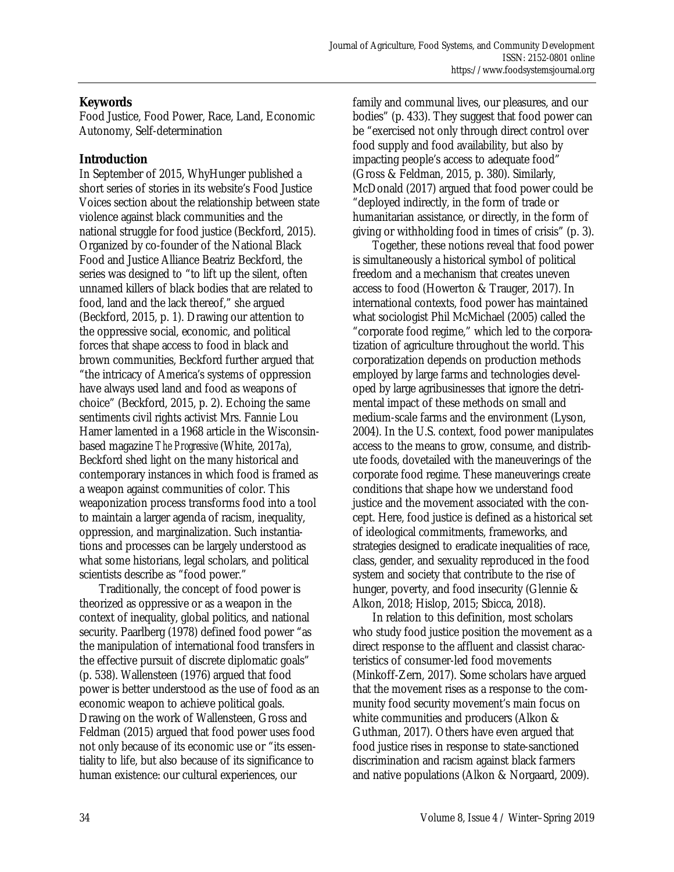# **Keywords**

Food Justice, Food Power, Race, Land, Economic Autonomy, Self-determination

# **Introduction**

In September of 2015, WhyHunger published a short series of stories in its website's Food Justice Voices section about the relationship between state violence against black communities and the national struggle for food justice (Beckford, 2015). Organized by co-founder of the National Black Food and Justice Alliance Beatriz Beckford, the series was designed to "to lift up the silent, often unnamed killers of black bodies that are related to food, land and the lack thereof," she argued (Beckford, 2015, p. 1). Drawing our attention to the oppressive social, economic, and political forces that shape access to food in black and brown communities, Beckford further argued that "the intricacy of America's systems of oppression have always used land and food as weapons of choice" (Beckford, 2015, p. 2). Echoing the same sentiments civil rights activist Mrs. Fannie Lou Hamer lamented in a 1968 article in the Wisconsinbased magazine *The Progressive* (White, 2017a), Beckford shed light on the many historical and contemporary instances in which food is framed as a weapon against communities of color. This weaponization process transforms food into a tool to maintain a larger agenda of racism, inequality, oppression, and marginalization. Such instantiations and processes can be largely understood as what some historians, legal scholars, and political scientists describe as "food power."

 Traditionally, the concept of food power is theorized as oppressive or as a weapon in the context of inequality, global politics, and national security. Paarlberg (1978) defined food power "as the manipulation of international food transfers in the effective pursuit of discrete diplomatic goals" (p. 538). Wallensteen (1976) argued that food power is better understood as the use of food as an economic weapon to achieve political goals. Drawing on the work of Wallensteen, Gross and Feldman (2015) argued that food power uses food not only because of its economic use or "its essentiality to life, but also because of its significance to human existence: our cultural experiences, our

family and communal lives, our pleasures, and our bodies" (p. 433). They suggest that food power can be "exercised not only through direct control over food supply and food availability, but also by impacting people's access to adequate food" (Gross & Feldman, 2015, p. 380). Similarly, McDonald (2017) argued that food power could be "deployed indirectly, in the form of trade or humanitarian assistance, or directly, in the form of giving or withholding food in times of crisis" (p. 3).

 Together, these notions reveal that food power is simultaneously a historical symbol of political freedom and a mechanism that creates uneven access to food (Howerton & Trauger, 2017). In international contexts, food power has maintained what sociologist Phil McMichael (2005) called the "corporate food regime," which led to the corporatization of agriculture throughout the world. This corporatization depends on production methods employed by large farms and technologies developed by large agribusinesses that ignore the detrimental impact of these methods on small and medium-scale farms and the environment (Lyson, 2004). In the U.S. context, food power manipulates access to the means to grow, consume, and distribute foods, dovetailed with the maneuverings of the corporate food regime. These maneuverings create conditions that shape how we understand food justice and the movement associated with the concept. Here, food justice is defined as a historical set of ideological commitments, frameworks, and strategies designed to eradicate inequalities of race, class, gender, and sexuality reproduced in the food system and society that contribute to the rise of hunger, poverty, and food insecurity (Glennie & Alkon, 2018; Hislop, 2015; Sbicca, 2018).

 In relation to this definition, most scholars who study food justice position the movement as a direct response to the affluent and classist characteristics of consumer-led food movements (Minkoff-Zern, 2017). Some scholars have argued that the movement rises as a response to the community food security movement's main focus on white communities and producers (Alkon & Guthman, 2017). Others have even argued that food justice rises in response to state-sanctioned discrimination and racism against black farmers and native populations (Alkon & Norgaard, 2009).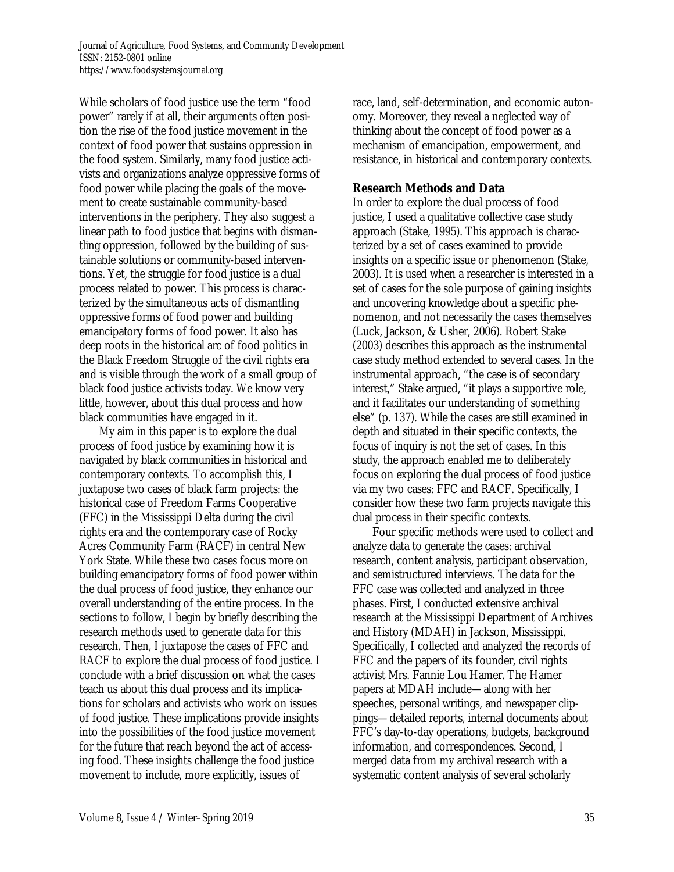While scholars of food justice use the term "food power" rarely if at all, their arguments often position the rise of the food justice movement in the context of food power that sustains oppression in the food system. Similarly, many food justice activists and organizations analyze oppressive forms of food power while placing the goals of the movement to create sustainable community-based interventions in the periphery. They also suggest a linear path to food justice that begins with dismantling oppression, followed by the building of sustainable solutions or community-based interventions. Yet, the struggle for food justice is a dual process related to power. This process is characterized by the simultaneous acts of dismantling oppressive forms of food power and building emancipatory forms of food power. It also has deep roots in the historical arc of food politics in the Black Freedom Struggle of the civil rights era and is visible through the work of a small group of black food justice activists today. We know very little, however, about this dual process and how black communities have engaged in it.

 My aim in this paper is to explore the dual process of food justice by examining how it is navigated by black communities in historical and contemporary contexts. To accomplish this, I juxtapose two cases of black farm projects: the historical case of Freedom Farms Cooperative (FFC) in the Mississippi Delta during the civil rights era and the contemporary case of Rocky Acres Community Farm (RACF) in central New York State. While these two cases focus more on building emancipatory forms of food power within the dual process of food justice, they enhance our overall understanding of the entire process. In the sections to follow, I begin by briefly describing the research methods used to generate data for this research. Then, I juxtapose the cases of FFC and RACF to explore the dual process of food justice. I conclude with a brief discussion on what the cases teach us about this dual process and its implications for scholars and activists who work on issues of food justice. These implications provide insights into the possibilities of the food justice movement for the future that reach beyond the act of accessing food. These insights challenge the food justice movement to include, more explicitly, issues of

race, land, self-determination, and economic autonomy. Moreover, they reveal a neglected way of thinking about the concept of food power as a mechanism of emancipation, empowerment, and resistance, in historical and contemporary contexts.

# **Research Methods and Data**

In order to explore the dual process of food justice, I used a qualitative collective case study approach (Stake, 1995). This approach is characterized by a set of cases examined to provide insights on a specific issue or phenomenon (Stake, 2003). It is used when a researcher is interested in a set of cases for the sole purpose of gaining insights and uncovering knowledge about a specific phenomenon, and not necessarily the cases themselves (Luck, Jackson, & Usher, 2006). Robert Stake (2003) describes this approach as the instrumental case study method extended to several cases. In the instrumental approach, "the case is of secondary interest," Stake argued, "it plays a supportive role, and it facilitates our understanding of something else" (p. 137). While the cases are still examined in depth and situated in their specific contexts, the focus of inquiry is not the set of cases. In this study, the approach enabled me to deliberately focus on exploring the dual process of food justice via my two cases: FFC and RACF. Specifically, I consider how these two farm projects navigate this dual process in their specific contexts.

 Four specific methods were used to collect and analyze data to generate the cases: archival research, content analysis, participant observation, and semistructured interviews. The data for the FFC case was collected and analyzed in three phases. First, I conducted extensive archival research at the Mississippi Department of Archives and History (MDAH) in Jackson, Mississippi. Specifically, I collected and analyzed the records of FFC and the papers of its founder, civil rights activist Mrs. Fannie Lou Hamer. The Hamer papers at MDAH include—along with her speeches, personal writings, and newspaper clippings—detailed reports, internal documents about FFC's day-to-day operations, budgets, background information, and correspondences. Second, I merged data from my archival research with a systematic content analysis of several scholarly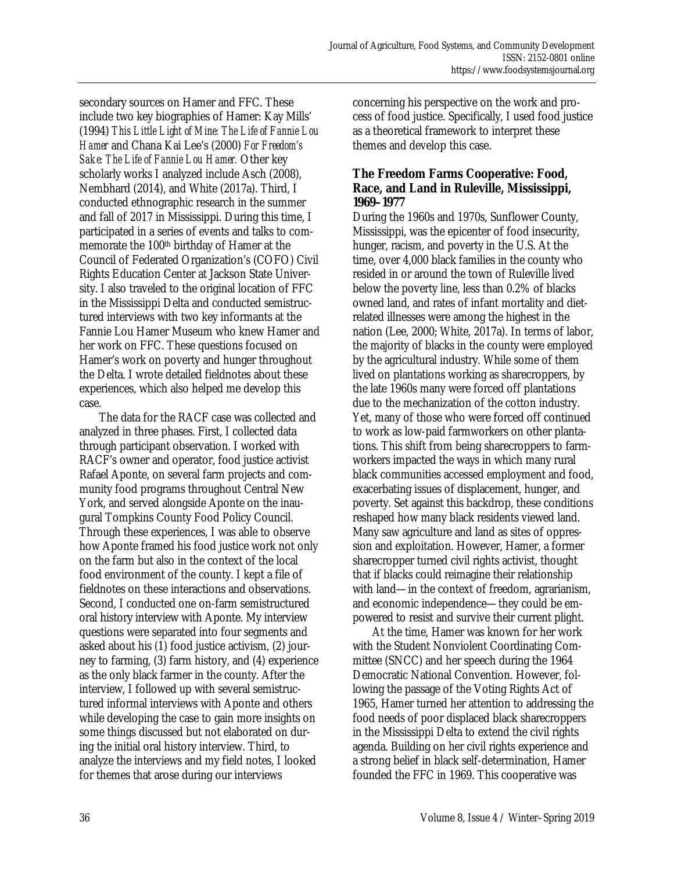secondary sources on Hamer and FFC. These include two key biographies of Hamer: Kay Mills' (1994) *This Little Light of Mine: The Life of Fannie Lou Hamer* and Chana Kai Lee's (2000) *For Freedom's Sake: The Life of Fannie Lou Hamer.* Other key scholarly works I analyzed include Asch (2008), Nembhard (2014), and White (2017a). Third, I conducted ethnographic research in the summer and fall of 2017 in Mississippi. During this time, I participated in a series of events and talks to commemorate the 100th birthday of Hamer at the Council of Federated Organization's (COFO) Civil Rights Education Center at Jackson State University. I also traveled to the original location of FFC in the Mississippi Delta and conducted semistructured interviews with two key informants at the Fannie Lou Hamer Museum who knew Hamer and her work on FFC. These questions focused on Hamer's work on poverty and hunger throughout the Delta. I wrote detailed fieldnotes about these experiences, which also helped me develop this case.

 The data for the RACF case was collected and analyzed in three phases. First, I collected data through participant observation. I worked with RACF's owner and operator, food justice activist Rafael Aponte, on several farm projects and community food programs throughout Central New York, and served alongside Aponte on the inaugural Tompkins County Food Policy Council. Through these experiences, I was able to observe how Aponte framed his food justice work not only on the farm but also in the context of the local food environment of the county. I kept a file of fieldnotes on these interactions and observations. Second, I conducted one on-farm semistructured oral history interview with Aponte. My interview questions were separated into four segments and asked about his (1) food justice activism, (2) journey to farming, (3) farm history, and (4) experience as the only black farmer in the county. After the interview, I followed up with several semistructured informal interviews with Aponte and others while developing the case to gain more insights on some things discussed but not elaborated on during the initial oral history interview. Third, to analyze the interviews and my field notes, I looked for themes that arose during our interviews

concerning his perspective on the work and process of food justice. Specifically, I used food justice as a theoretical framework to interpret these themes and develop this case.

### **The Freedom Farms Cooperative: Food, Race, and Land in Ruleville, Mississippi, 1969–1977**

During the 1960s and 1970s, Sunflower County, Mississippi, was the epicenter of food insecurity, hunger, racism, and poverty in the U.S. At the time, over 4,000 black families in the county who resided in or around the town of Ruleville lived below the poverty line, less than 0.2% of blacks owned land, and rates of infant mortality and dietrelated illnesses were among the highest in the nation (Lee, 2000; White, 2017a). In terms of labor, the majority of blacks in the county were employed by the agricultural industry. While some of them lived on plantations working as sharecroppers, by the late 1960s many were forced off plantations due to the mechanization of the cotton industry. Yet, many of those who were forced off continued to work as low-paid farmworkers on other plantations. This shift from being sharecroppers to farmworkers impacted the ways in which many rural black communities accessed employment and food, exacerbating issues of displacement, hunger, and poverty. Set against this backdrop, these conditions reshaped how many black residents viewed land. Many saw agriculture and land as sites of oppression and exploitation. However, Hamer, a former sharecropper turned civil rights activist, thought that if blacks could reimagine their relationship with land—in the context of freedom, agrarianism, and economic independence—they could be empowered to resist and survive their current plight.

 At the time, Hamer was known for her work with the Student Nonviolent Coordinating Committee (SNCC) and her speech during the 1964 Democratic National Convention. However, following the passage of the Voting Rights Act of 1965, Hamer turned her attention to addressing the food needs of poor displaced black sharecroppers in the Mississippi Delta to extend the civil rights agenda. Building on her civil rights experience and a strong belief in black self-determination, Hamer founded the FFC in 1969. This cooperative was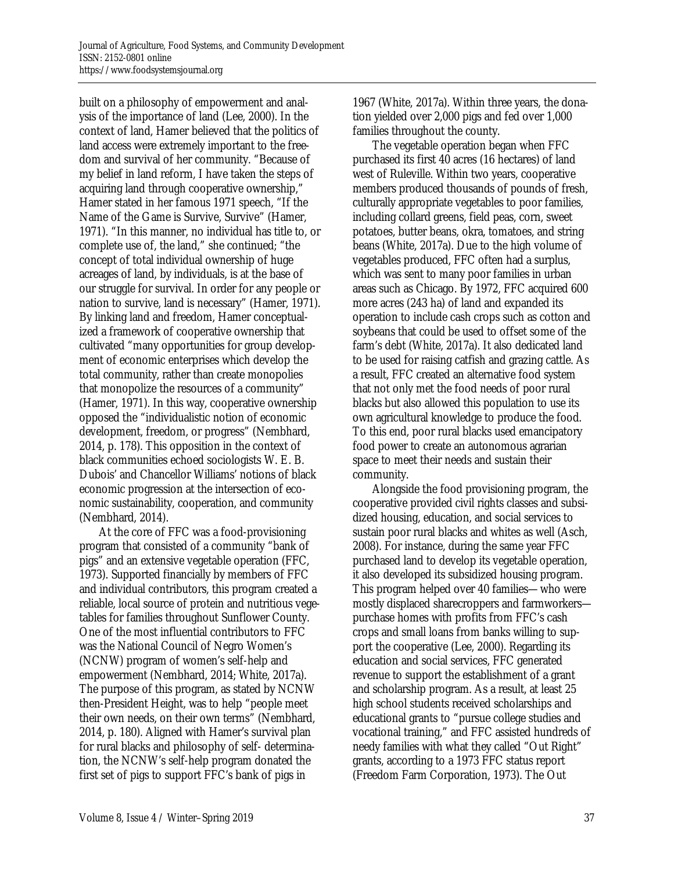built on a philosophy of empowerment and analysis of the importance of land (Lee, 2000). In the context of land, Hamer believed that the politics of land access were extremely important to the freedom and survival of her community. "Because of my belief in land reform, I have taken the steps of acquiring land through cooperative ownership," Hamer stated in her famous 1971 speech, "If the Name of the Game is Survive, Survive" (Hamer, 1971). "In this manner, no individual has title to, or complete use of, the land," she continued; "the concept of total individual ownership of huge acreages of land, by individuals, is at the base of our struggle for survival. In order for any people or nation to survive, land is necessary" (Hamer, 1971). By linking land and freedom, Hamer conceptualized a framework of cooperative ownership that cultivated "many opportunities for group development of economic enterprises which develop the total community, rather than create monopolies that monopolize the resources of a community" (Hamer, 1971). In this way, cooperative ownership opposed the "individualistic notion of economic development, freedom, or progress" (Nembhard, 2014, p. 178). This opposition in the context of black communities echoed sociologists W. E. B. Dubois' and Chancellor Williams' notions of black economic progression at the intersection of economic sustainability, cooperation, and community (Nembhard, 2014).

 At the core of FFC was a food-provisioning program that consisted of a community "bank of pigs" and an extensive vegetable operation (FFC, 1973). Supported financially by members of FFC and individual contributors, this program created a reliable, local source of protein and nutritious vegetables for families throughout Sunflower County. One of the most influential contributors to FFC was the National Council of Negro Women's (NCNW) program of women's self-help and empowerment (Nembhard, 2014; White, 2017a). The purpose of this program, as stated by NCNW then-President Height, was to help "people meet their own needs, on their own terms" (Nembhard, 2014, p. 180). Aligned with Hamer's survival plan for rural blacks and philosophy of self- determination, the NCNW's self-help program donated the first set of pigs to support FFC's bank of pigs in

1967 (White, 2017a). Within three years, the donation yielded over 2,000 pigs and fed over 1,000 families throughout the county.

 The vegetable operation began when FFC purchased its first 40 acres (16 hectares) of land west of Ruleville. Within two years, cooperative members produced thousands of pounds of fresh, culturally appropriate vegetables to poor families, including collard greens, field peas, corn, sweet potatoes, butter beans, okra, tomatoes, and string beans (White, 2017a). Due to the high volume of vegetables produced, FFC often had a surplus, which was sent to many poor families in urban areas such as Chicago. By 1972, FFC acquired 600 more acres (243 ha) of land and expanded its operation to include cash crops such as cotton and soybeans that could be used to offset some of the farm's debt (White, 2017a). It also dedicated land to be used for raising catfish and grazing cattle. As a result, FFC created an alternative food system that not only met the food needs of poor rural blacks but also allowed this population to use its own agricultural knowledge to produce the food. To this end, poor rural blacks used emancipatory food power to create an autonomous agrarian space to meet their needs and sustain their community.

 Alongside the food provisioning program, the cooperative provided civil rights classes and subsidized housing, education, and social services to sustain poor rural blacks and whites as well (Asch, 2008). For instance, during the same year FFC purchased land to develop its vegetable operation, it also developed its subsidized housing program. This program helped over 40 families—who were mostly displaced sharecroppers and farmworkers purchase homes with profits from FFC's cash crops and small loans from banks willing to support the cooperative (Lee, 2000). Regarding its education and social services, FFC generated revenue to support the establishment of a grant and scholarship program. As a result, at least 25 high school students received scholarships and educational grants to "pursue college studies and vocational training," and FFC assisted hundreds of needy families with what they called "Out Right" grants, according to a 1973 FFC status report (Freedom Farm Corporation, 1973). The Out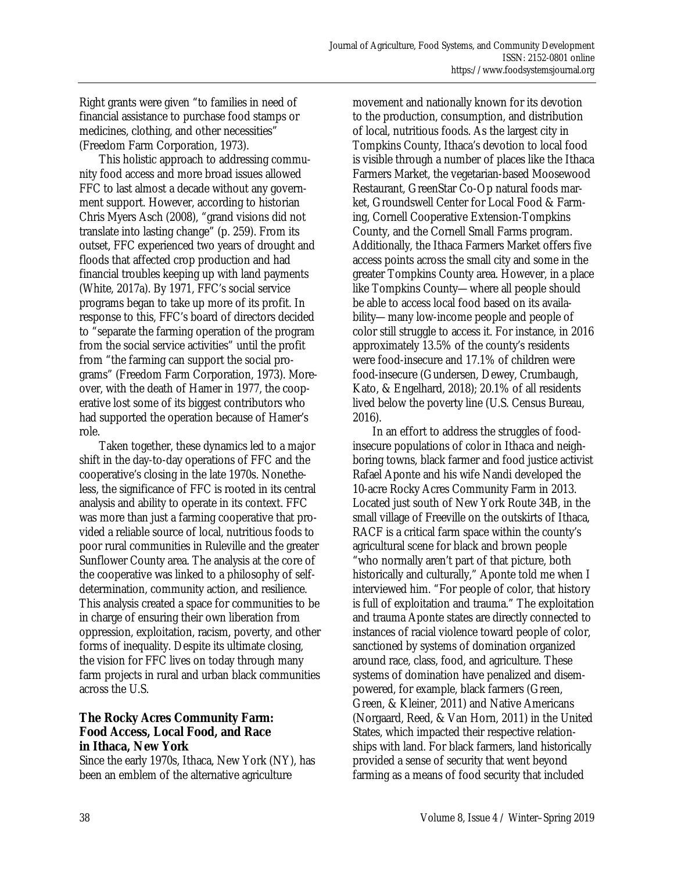Right grants were given "to families in need of financial assistance to purchase food stamps or medicines, clothing, and other necessities" (Freedom Farm Corporation, 1973).

 This holistic approach to addressing community food access and more broad issues allowed FFC to last almost a decade without any government support. However, according to historian Chris Myers Asch (2008), "grand visions did not translate into lasting change" (p. 259). From its outset, FFC experienced two years of drought and floods that affected crop production and had financial troubles keeping up with land payments (White, 2017a). By 1971, FFC's social service programs began to take up more of its profit. In response to this, FFC's board of directors decided to "separate the farming operation of the program from the social service activities" until the profit from "the farming can support the social programs" (Freedom Farm Corporation, 1973). Moreover, with the death of Hamer in 1977, the cooperative lost some of its biggest contributors who had supported the operation because of Hamer's role.

 Taken together, these dynamics led to a major shift in the day-to-day operations of FFC and the cooperative's closing in the late 1970s. Nonetheless, the significance of FFC is rooted in its central analysis and ability to operate in its context. FFC was more than just a farming cooperative that provided a reliable source of local, nutritious foods to poor rural communities in Ruleville and the greater Sunflower County area. The analysis at the core of the cooperative was linked to a philosophy of selfdetermination, community action, and resilience. This analysis created a space for communities to be in charge of ensuring their own liberation from oppression, exploitation, racism, poverty, and other forms of inequality. Despite its ultimate closing, the vision for FFC lives on today through many farm projects in rural and urban black communities across the U.S.

# **The Rocky Acres Community Farm: Food Access, Local Food, and Race in Ithaca, New York**

Since the early 1970s, Ithaca, New York (NY), has been an emblem of the alternative agriculture

movement and nationally known for its devotion to the production, consumption, and distribution of local, nutritious foods. As the largest city in Tompkins County, Ithaca's devotion to local food is visible through a number of places like the Ithaca Farmers Market, the vegetarian-based Moosewood Restaurant, GreenStar Co-Op natural foods market, Groundswell Center for Local Food & Farming, Cornell Cooperative Extension-Tompkins County, and the Cornell Small Farms program. Additionally, the Ithaca Farmers Market offers five access points across the small city and some in the greater Tompkins County area. However, in a place like Tompkins County—where all people should be able to access local food based on its availability—many low-income people and people of color still struggle to access it. For instance, in 2016 approximately 13.5% of the county's residents were food-insecure and 17.1% of children were food-insecure (Gundersen, Dewey, Crumbaugh, Kato, & Engelhard, 2018); 20.1% of all residents lived below the poverty line (U.S. Census Bureau, 2016).

 In an effort to address the struggles of foodinsecure populations of color in Ithaca and neighboring towns, black farmer and food justice activist Rafael Aponte and his wife Nandi developed the 10-acre Rocky Acres Community Farm in 2013. Located just south of New York Route 34B, in the small village of Freeville on the outskirts of Ithaca, RACF is a critical farm space within the county's agricultural scene for black and brown people "who normally aren't part of that picture, both historically and culturally," Aponte told me when I interviewed him. "For people of color, that history is full of exploitation and trauma." The exploitation and trauma Aponte states are directly connected to instances of racial violence toward people of color, sanctioned by systems of domination organized around race, class, food, and agriculture. These systems of domination have penalized and disempowered, for example, black farmers (Green, Green, & Kleiner, 2011) and Native Americans (Norgaard, Reed, & Van Horn, 2011) in the United States, which impacted their respective relationships with land. For black farmers, land historically provided a sense of security that went beyond farming as a means of food security that included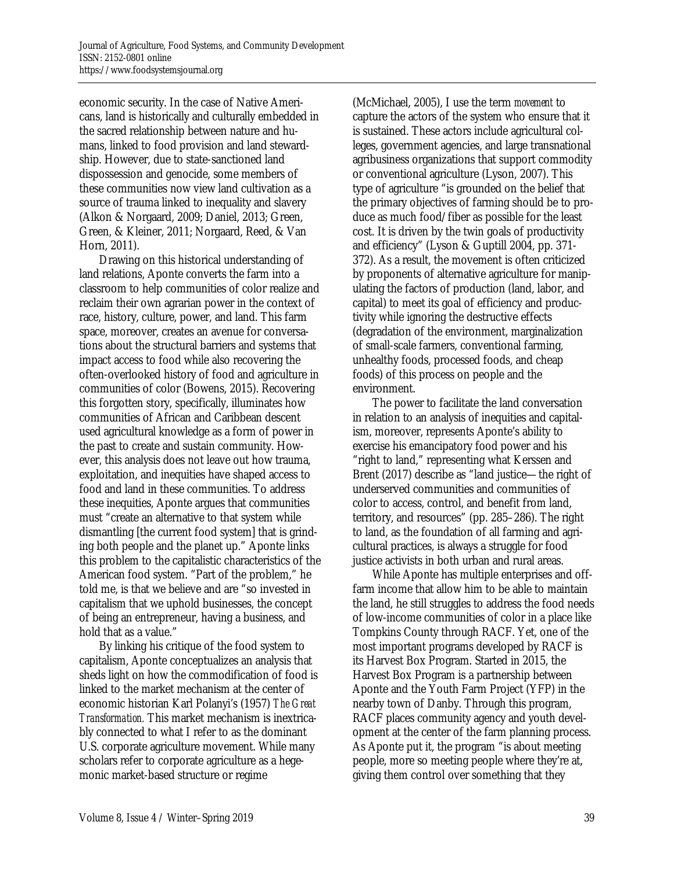economic security. In the case of Native Americans, land is historically and culturally embedded in the sacred relationship between nature and humans, linked to food provision and land stewardship. However, due to state-sanctioned land dispossession and genocide, some members of these communities now view land cultivation as a source of trauma linked to inequality and slavery (Alkon & Norgaard, 2009; Daniel, 2013; Green, Green, & Kleiner, 2011; Norgaard, Reed, & Van Horn, 2011).

 Drawing on this historical understanding of land relations, Aponte converts the farm into a classroom to help communities of color realize and reclaim their own agrarian power in the context of race, history, culture, power, and land. This farm space, moreover, creates an avenue for conversations about the structural barriers and systems that impact access to food while also recovering the often-overlooked history of food and agriculture in communities of color (Bowens, 2015). Recovering this forgotten story, specifically, illuminates how communities of African and Caribbean descent used agricultural knowledge as a form of power in the past to create and sustain community. However, this analysis does not leave out how trauma, exploitation, and inequities have shaped access to food and land in these communities. To address these inequities, Aponte argues that communities must "create an alternative to that system while dismantling [the current food system] that is grinding both people and the planet up." Aponte links this problem to the capitalistic characteristics of the American food system. "Part of the problem," he told me, is that we believe and are "so invested in capitalism that we uphold businesses, the concept of being an entrepreneur, having a business, and hold that as a value."

 By linking his critique of the food system to capitalism, Aponte conceptualizes an analysis that sheds light on how the commodification of food is linked to the market mechanism at the center of economic historian Karl Polanyi's (1957) *The Great Transformation.* This market mechanism is inextricably connected to what I refer to as the dominant U.S. corporate agriculture movement. While many scholars refer to corporate agriculture as a hegemonic market-based structure or regime

(McMichael, 2005), I use the term *movement* to capture the actors of the system who ensure that it is sustained. These actors include agricultural colleges, government agencies, and large transnational agribusiness organizations that support commodity or conventional agriculture (Lyson, 2007). This type of agriculture "is grounded on the belief that the primary objectives of farming should be to produce as much food/fiber as possible for the least cost. It is driven by the twin goals of productivity and efficiency" (Lyson & Guptill 2004, pp. 371- 372). As a result, the movement is often criticized by proponents of alternative agriculture for manipulating the factors of production (land, labor, and capital) to meet its goal of efficiency and productivity while ignoring the destructive effects (degradation of the environment, marginalization of small-scale farmers, conventional farming, unhealthy foods, processed foods, and cheap foods) of this process on people and the environment.

 The power to facilitate the land conversation in relation to an analysis of inequities and capitalism, moreover, represents Aponte's ability to exercise his emancipatory food power and his "right to land," representing what Kerssen and Brent (2017) describe as "land justice—the right of underserved communities and communities of color to access, control, and benefit from land, territory, and resources" (pp. 285–286). The right to land, as the foundation of all farming and agricultural practices, is always a struggle for food justice activists in both urban and rural areas.

 While Aponte has multiple enterprises and offfarm income that allow him to be able to maintain the land, he still struggles to address the food needs of low-income communities of color in a place like Tompkins County through RACF. Yet, one of the most important programs developed by RACF is its Harvest Box Program. Started in 2015, the Harvest Box Program is a partnership between Aponte and the Youth Farm Project (YFP) in the nearby town of Danby. Through this program, RACF places community agency and youth development at the center of the farm planning process. As Aponte put it, the program "is about meeting people, more so meeting people where they're at, giving them control over something that they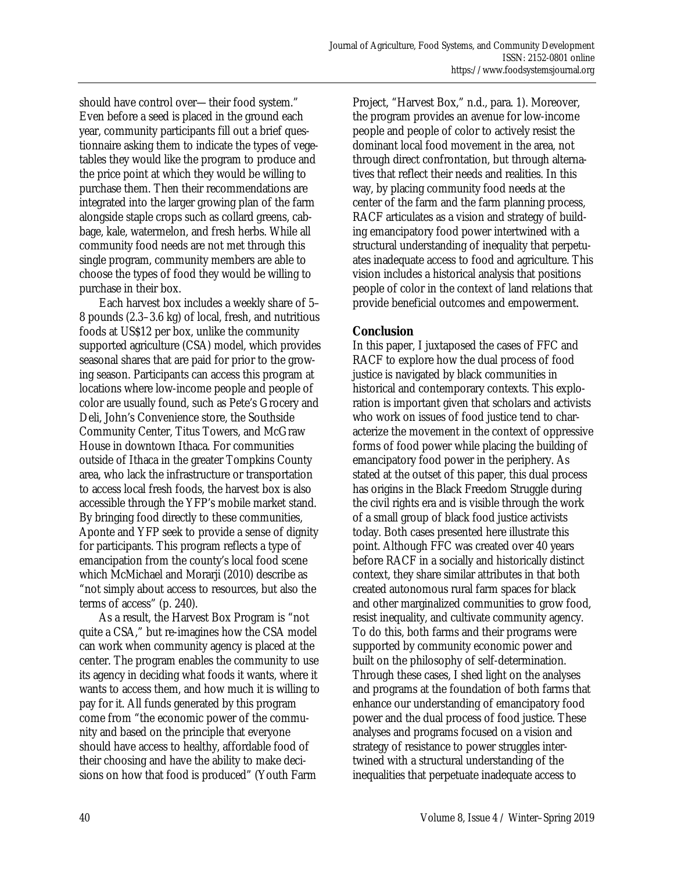should have control over—their food system." Even before a seed is placed in the ground each year, community participants fill out a brief questionnaire asking them to indicate the types of vegetables they would like the program to produce and the price point at which they would be willing to purchase them. Then their recommendations are integrated into the larger growing plan of the farm alongside staple crops such as collard greens, cabbage, kale, watermelon, and fresh herbs. While all community food needs are not met through this single program, community members are able to choose the types of food they would be willing to purchase in their box.

 Each harvest box includes a weekly share of 5– 8 pounds (2.3–3.6 kg) of local, fresh, and nutritious foods at US\$12 per box, unlike the community supported agriculture (CSA) model, which provides seasonal shares that are paid for prior to the growing season. Participants can access this program at locations where low-income people and people of color are usually found, such as Pete's Grocery and Deli, John's Convenience store, the Southside Community Center, Titus Towers, and McGraw House in downtown Ithaca. For communities outside of Ithaca in the greater Tompkins County area, who lack the infrastructure or transportation to access local fresh foods, the harvest box is also accessible through the YFP's mobile market stand. By bringing food directly to these communities, Aponte and YFP seek to provide a sense of dignity for participants. This program reflects a type of emancipation from the county's local food scene which McMichael and Morarji (2010) describe as "not simply about access to resources, but also the terms of access" (p. 240).

 As a result, the Harvest Box Program is "not quite a CSA," but re-imagines how the CSA model can work when community agency is placed at the center. The program enables the community to use its agency in deciding what foods it wants, where it wants to access them, and how much it is willing to pay for it. All funds generated by this program come from "the economic power of the community and based on the principle that everyone should have access to healthy, affordable food of their choosing and have the ability to make decisions on how that food is produced" (Youth Farm

Project, "Harvest Box," n.d., para. 1). Moreover, the program provides an avenue for low-income people and people of color to actively resist the dominant local food movement in the area, not through direct confrontation, but through alternatives that reflect their needs and realities. In this way, by placing community food needs at the center of the farm and the farm planning process, RACF articulates as a vision and strategy of building emancipatory food power intertwined with a structural understanding of inequality that perpetuates inadequate access to food and agriculture. This vision includes a historical analysis that positions people of color in the context of land relations that provide beneficial outcomes and empowerment.

# **Conclusion**

In this paper, I juxtaposed the cases of FFC and RACF to explore how the dual process of food justice is navigated by black communities in historical and contemporary contexts. This exploration is important given that scholars and activists who work on issues of food justice tend to characterize the movement in the context of oppressive forms of food power while placing the building of emancipatory food power in the periphery. As stated at the outset of this paper, this dual process has origins in the Black Freedom Struggle during the civil rights era and is visible through the work of a small group of black food justice activists today. Both cases presented here illustrate this point. Although FFC was created over 40 years before RACF in a socially and historically distinct context, they share similar attributes in that both created autonomous rural farm spaces for black and other marginalized communities to grow food, resist inequality, and cultivate community agency. To do this, both farms and their programs were supported by community economic power and built on the philosophy of self-determination. Through these cases, I shed light on the analyses and programs at the foundation of both farms that enhance our understanding of emancipatory food power and the dual process of food justice. These analyses and programs focused on a vision and strategy of resistance to power struggles intertwined with a structural understanding of the inequalities that perpetuate inadequate access to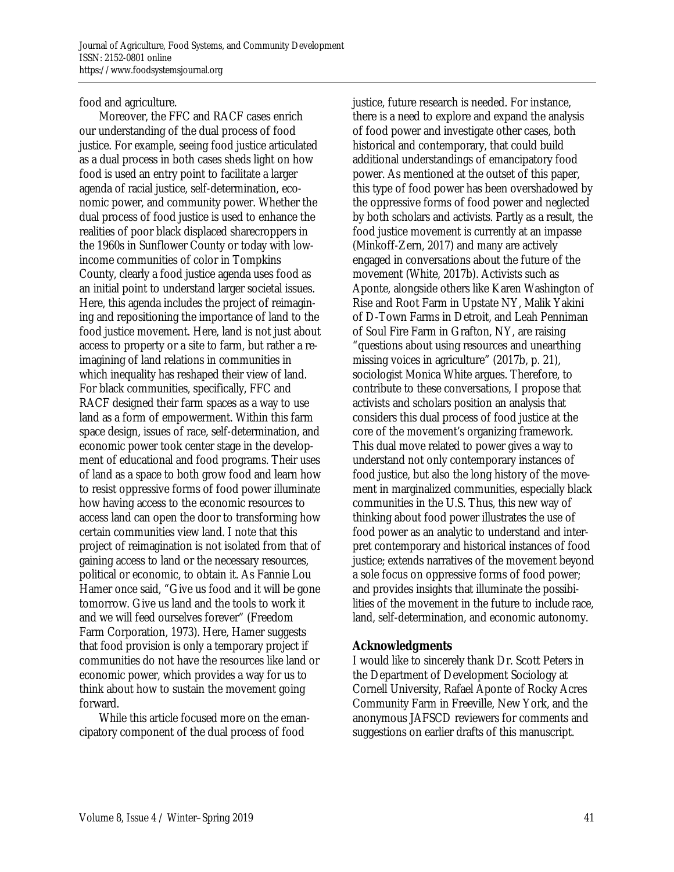food and agriculture.

 Moreover, the FFC and RACF cases enrich our understanding of the dual process of food justice. For example, seeing food justice articulated as a dual process in both cases sheds light on how food is used an entry point to facilitate a larger agenda of racial justice, self-determination, economic power, and community power. Whether the dual process of food justice is used to enhance the realities of poor black displaced sharecroppers in the 1960s in Sunflower County or today with lowincome communities of color in Tompkins County, clearly a food justice agenda uses food as an initial point to understand larger societal issues. Here, this agenda includes the project of reimagining and repositioning the importance of land to the food justice movement. Here, land is not just about access to property or a site to farm, but rather a reimagining of land relations in communities in which inequality has reshaped their view of land. For black communities, specifically, FFC and RACF designed their farm spaces as a way to use land as a form of empowerment. Within this farm space design, issues of race, self-determination, and economic power took center stage in the development of educational and food programs. Their uses of land as a space to both grow food and learn how to resist oppressive forms of food power illuminate how having access to the economic resources to access land can open the door to transforming how certain communities view land. I note that this project of reimagination is not isolated from that of gaining access to land or the necessary resources, political or economic, to obtain it. As Fannie Lou Hamer once said, "Give us food and it will be gone tomorrow. Give us land and the tools to work it and we will feed ourselves forever" (Freedom Farm Corporation, 1973). Here, Hamer suggests that food provision is only a temporary project if communities do not have the resources like land or economic power, which provides a way for us to think about how to sustain the movement going forward.

 While this article focused more on the emancipatory component of the dual process of food

justice, future research is needed. For instance, there is a need to explore and expand the analysis of food power and investigate other cases, both historical and contemporary, that could build additional understandings of emancipatory food power. As mentioned at the outset of this paper, this type of food power has been overshadowed by the oppressive forms of food power and neglected by both scholars and activists. Partly as a result, the food justice movement is currently at an impasse (Minkoff-Zern, 2017) and many are actively engaged in conversations about the future of the movement (White, 2017b). Activists such as Aponte, alongside others like Karen Washington of Rise and Root Farm in Upstate NY, Malik Yakini of D-Town Farms in Detroit, and Leah Penniman of Soul Fire Farm in Grafton, NY, are raising "questions about using resources and unearthing missing voices in agriculture" (2017b, p. 21), sociologist Monica White argues. Therefore, to contribute to these conversations, I propose that activists and scholars position an analysis that considers this dual process of food justice at the core of the movement's organizing framework. This dual move related to power gives a way to understand not only contemporary instances of food justice, but also the long history of the movement in marginalized communities, especially black communities in the U.S. Thus, this new way of thinking about food power illustrates the use of food power as an analytic to understand and interpret contemporary and historical instances of food justice; extends narratives of the movement beyond a sole focus on oppressive forms of food power; and provides insights that illuminate the possibilities of the movement in the future to include race, land, self-determination, and economic autonomy.

### **Acknowledgments**

I would like to sincerely thank Dr. Scott Peters in the Department of Development Sociology at Cornell University, Rafael Aponte of Rocky Acres Community Farm in Freeville, New York, and the anonymous JAFSCD reviewers for comments and suggestions on earlier drafts of this manuscript.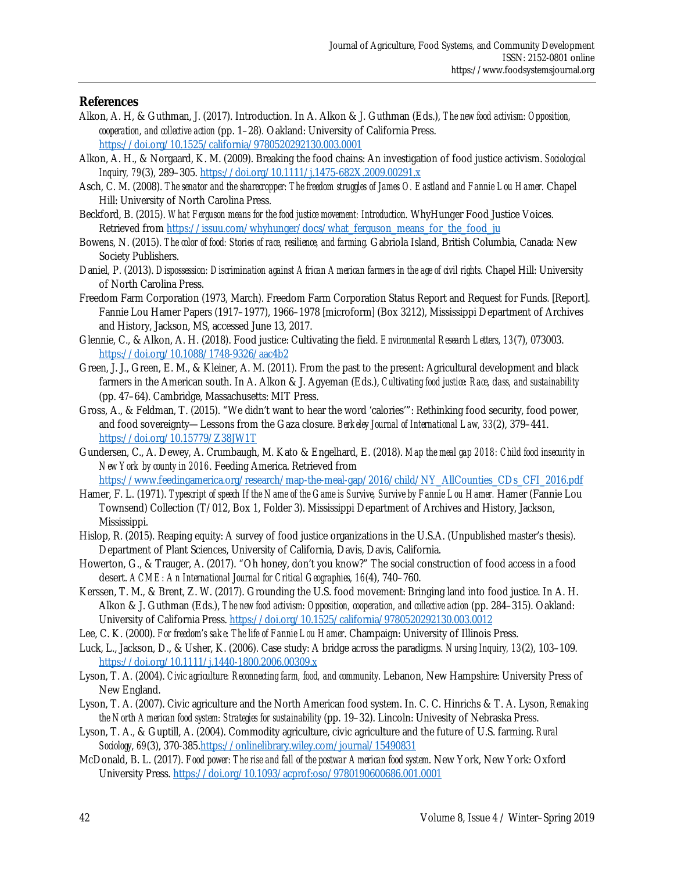#### **References**

- Alkon, A. H, & Guthman, J. (2017). Introduction. In A. Alkon & J. Guthman (Eds.), *The new food activism: Opposition, cooperation, and collective action* (pp. 1–28)*.* Oakland: University of California Press. https://doi.org/10.1525/california/9780520292130.003.0001
- Alkon, A. H., & Norgaard, K. M. (2009). Breaking the food chains: An investigation of food justice activism. *Sociological Inquiry, 79*(3), 289–305. https://doi.org/10.1111/j.1475-682X.2009.00291.x
- Asch, C. M. (2008). *The senator and the sharecropper: The freedom struggles of James O. Eastland and Fannie Lou Hamer.* Chapel Hill: University of North Carolina Press.
- Beckford, B. (2015). *What Ferguson means for the food justice movement: Introduction.* WhyHunger Food Justice Voices. Retrieved from https://issuu.com/whyhunger/docs/what\_ferguson\_means\_for\_the\_food\_ju
- Bowens, N. (2015). *The color of food: Stories of race, resilience, and farming.* Gabriola Island, British Columbia, Canada: New Society Publishers.
- Daniel, P. (2013). *Dispossession: Discrimination against African American farmers in the age of civil rights.* Chapel Hill: University of North Carolina Press.
- Freedom Farm Corporation (1973, March). Freedom Farm Corporation Status Report and Request for Funds. [Report]. Fannie Lou Hamer Papers (1917–1977), 1966–1978 [microform] (Box 3212), Mississippi Department of Archives and History, Jackson, MS, accessed June 13, 2017.
- Glennie, C., & Alkon, A. H. (2018). Food justice: Cultivating the field. *Environmental Research Letters, 13*(7), 073003. https://doi.org/10.1088/1748-9326/aac4b2
- Green, J. J., Green, E. M., & Kleiner, A. M. (2011). From the past to the present: Agricultural development and black farmers in the American south. In A. Alkon & J. Agyeman (Eds.), *Cultivating food justice: Race, class, and sustainability* (pp. 47–64). Cambridge, Massachusetts: MIT Press.
- Gross, A., & Feldman, T. (2015). "We didn't want to hear the word 'calories'": Rethinking food security, food power, and food sovereignty—Lessons from the Gaza closure. *Berkeley Journal of International Law, 33*(2), 379–441. https://doi.org/10.15779/Z38JW1T
- Gundersen, C., A. Dewey, A. Crumbaugh, M. Kato & Engelhard, E. (2018). *Map the meal gap 2018: Child food insecurity in New York by county in 2016*. Feeding America. Retrieved from https://www.feedingamerica.org/research/map-the-meal-gap/2016/child/NY\_AllCounties\_CDs\_CFI\_2016.pdf
- Hamer, F. L. (1971). *Typescript of speech If the Name of the Game is Survive, Survive by Fannie Lou Hamer.* Hamer (Fannie Lou Townsend) Collection (T/012, Box 1, Folder 3). Mississippi Department of Archives and History, Jackson, Mississippi.
- Hislop, R. (2015). Reaping equity: A survey of food justice organizations in the U.S.A. (Unpublished master's thesis). Department of Plant Sciences, University of California, Davis, Davis, California.
- Howerton, G., & Trauger, A. (2017). "Oh honey, don't you know?" The social construction of food access in a food desert. *ACME: An International Journal for Critical Geographies, 16*(4), 740–760.
- Kerssen, T. M., & Brent, Z. W. (2017). Grounding the U.S. food movement: Bringing land into food justice. In A. H. Alkon & J. Guthman (Eds.), *The new food activism: Opposition, cooperation, and collective action* (pp. 284–315). Oakland: University of California Press. https://doi.org/10.1525/california/9780520292130.003.0012
- Lee, C. K. (2000). *For freedom's sake: The life of Fannie Lou Hamer*. Champaign: University of Illinois Press.
- Luck, L., Jackson, D., & Usher, K. (2006). Case study: A bridge across the paradigms. *Nursing Inquiry, 13*(2), 103–109. https://doi.org/10.1111/j.1440-1800.2006.00309.x
- Lyson, T. A. (2004). *Civic agriculture: Reconnecting farm, food, and community*. Lebanon, New Hampshire: University Press of New England.
- Lyson, T. A. (2007). Civic agriculture and the North American food system. In. C. C. Hinrichs & T. A. Lyson, *Remaking the North American food system: Strategies for sustainability* (pp. 19–32). Lincoln: Univesity of Nebraska Press.
- Lyson, T. A., & Guptill, A. (2004). Commodity agriculture, civic agriculture and the future of U.S. farming. *Rural Sociology*, *69*(3), 370-385.https://onlinelibrary.wiley.com/journal/15490831
- McDonald, B. L. (2017). *Food power: The rise and fall of the postwar American food system*. New York, New York: Oxford University Press. https://doi.org/10.1093/acprof:oso/9780190600686.001.0001